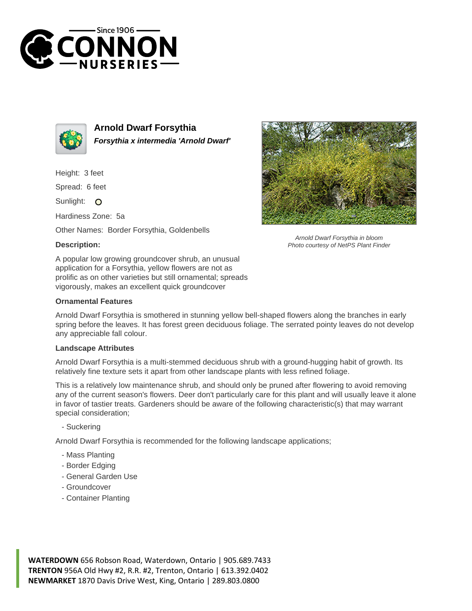



**Arnold Dwarf Forsythia Forsythia x intermedia 'Arnold Dwarf'**

Height: 3 feet

Spread: 6 feet

Sunlight: O

Hardiness Zone: 5a

Other Names: Border Forsythia, Goldenbells

## **Description:**



A popular low growing groundcover shrub, an unusual application for a Forsythia, yellow flowers are not as prolific as on other varieties but still ornamental; spreads vigorously, makes an excellent quick groundcover

## **Ornamental Features**

Arnold Dwarf Forsythia is smothered in stunning yellow bell-shaped flowers along the branches in early spring before the leaves. It has forest green deciduous foliage. The serrated pointy leaves do not develop any appreciable fall colour.

## **Landscape Attributes**

Arnold Dwarf Forsythia is a multi-stemmed deciduous shrub with a ground-hugging habit of growth. Its relatively fine texture sets it apart from other landscape plants with less refined foliage.

This is a relatively low maintenance shrub, and should only be pruned after flowering to avoid removing any of the current season's flowers. Deer don't particularly care for this plant and will usually leave it alone in favor of tastier treats. Gardeners should be aware of the following characteristic(s) that may warrant special consideration;

- Suckering

Arnold Dwarf Forsythia is recommended for the following landscape applications;

- Mass Planting
- Border Edging
- General Garden Use
- Groundcover
- Container Planting

**WATERDOWN** 656 Robson Road, Waterdown, Ontario | 905.689.7433 **TRENTON** 956A Old Hwy #2, R.R. #2, Trenton, Ontario | 613.392.0402 **NEWMARKET** 1870 Davis Drive West, King, Ontario | 289.803.0800